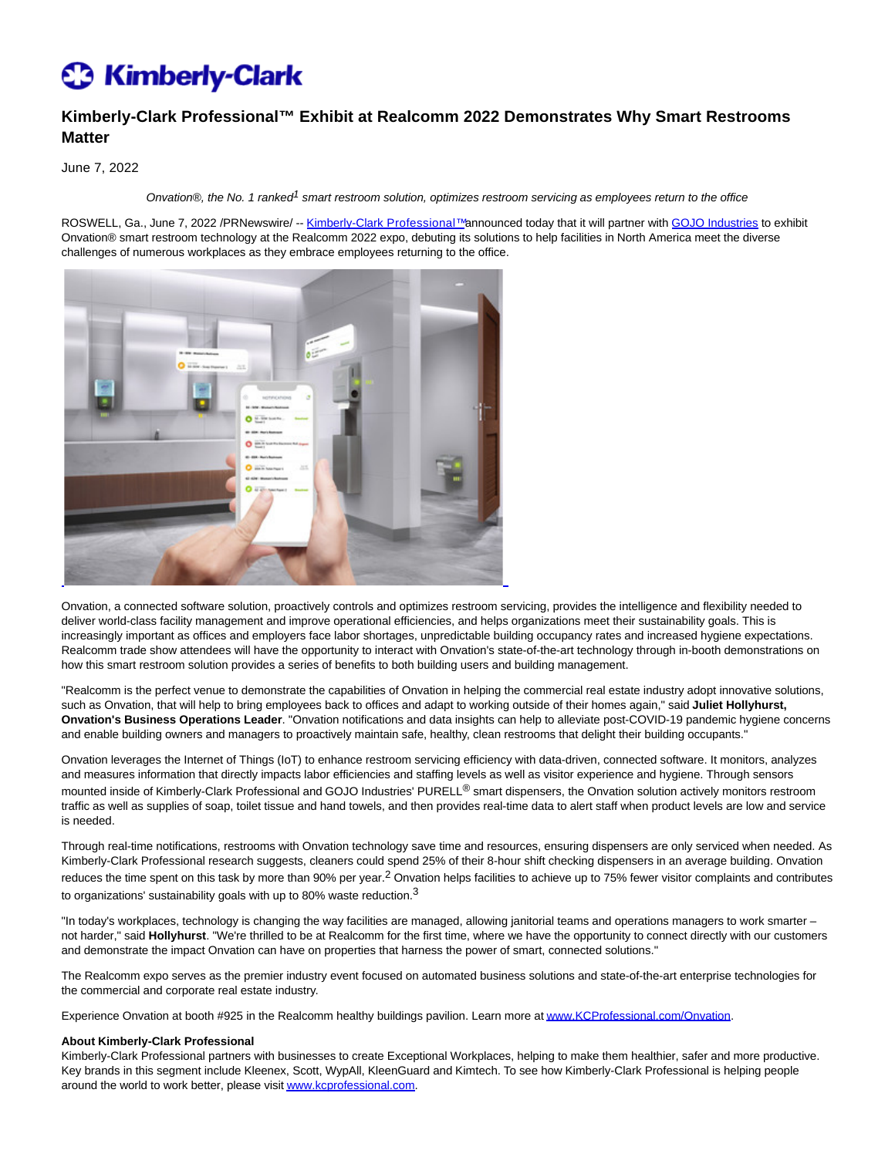# **C** Kimberly-Clark

## **Kimberly-Clark Professional™ Exhibit at Realcomm 2022 Demonstrates Why Smart Restrooms Matter**

June 7, 2022

Onvation®, the No. 1 ranked<sup>1</sup> smart restroom solution, optimizes restroom servicing as employees return to the office

ROSWELL, Ga., June 7, 2022 /PRNewswire/ -- Kimberly-Clark Professional™announced today that it will partner with [GOJO Industries t](https://c212.net/c/link/?t=0&l=en&o=3557085-1&h=1662564681&u=https%3A%2F%2Fwww.gojo.com%2Fen%2FElectronic-Monitoring-Systems%2FOnvation&a=GOJO+Industries)o exhibit Onvation® smart restroom technology at the Realcomm 2022 expo, debuting its solutions to help facilities in North America meet the diverse challenges of numerous workplaces as they embrace employees returning to the office.



Onvation, a connected software solution, proactively controls and optimizes restroom servicing, provides the intelligence and flexibility needed to deliver world-class facility management and improve operational efficiencies, and helps organizations meet their sustainability goals. This is increasingly important as offices and employers face labor shortages, unpredictable building occupancy rates and increased hygiene expectations. Realcomm trade show attendees will have the opportunity to interact with Onvation's state-of-the-art technology through in-booth demonstrations on how this smart restroom solution provides a series of benefits to both building users and building management.

"Realcomm is the perfect venue to demonstrate the capabilities of Onvation in helping the commercial real estate industry adopt innovative solutions, such as Onvation, that will help to bring employees back to offices and adapt to working outside of their homes again," said **Juliet Hollyhurst, Onvation's Business Operations Leader**. "Onvation notifications and data insights can help to alleviate post-COVID-19 pandemic hygiene concerns and enable building owners and managers to proactively maintain safe, healthy, clean restrooms that delight their building occupants."

Onvation leverages the Internet of Things (IoT) to enhance restroom servicing efficiency with data-driven, connected software. It monitors, analyzes and measures information that directly impacts labor efficiencies and staffing levels as well as visitor experience and hygiene. Through sensors mounted inside of Kimberly-Clark Professional and GOJO Industries' PURELL<sup>®</sup> smart dispensers, the Onvation solution actively monitors restroom traffic as well as supplies of soap, toilet tissue and hand towels, and then provides real-time data to alert staff when product levels are low and service is needed.

Through real-time notifications, restrooms with Onvation technology save time and resources, ensuring dispensers are only serviced when needed. As Kimberly-Clark Professional research suggests, cleaners could spend 25% of their 8-hour shift checking dispensers in an average building. Onvation reduces the time spent on this task by more than 90% per year.<sup>2</sup> Onvation helps facilities to achieve up to 75% fewer visitor complaints and contributes to organizations' sustainability goals with up to 80% waste reduction.<sup>3</sup>

"In today's workplaces, technology is changing the way facilities are managed, allowing janitorial teams and operations managers to work smarter – not harder," said **Hollyhurst**. "We're thrilled to be at Realcomm for the first time, where we have the opportunity to connect directly with our customers and demonstrate the impact Onvation can have on properties that harness the power of smart, connected solutions."

The Realcomm expo serves as the premier industry event focused on automated business solutions and state-of-the-art enterprise technologies for the commercial and corporate real estate industry.

Experience Onvation at booth #925 in the Realcomm healthy buildings pavilion. Learn more a[t www.KCProfessional.com/Onvation.](https://c212.net/c/link/?t=0&l=en&o=3557085-1&h=687877878&u=http%3A%2F%2Fwww.kcprofessional.com%2FOnvation&a=www.KCProfessional.com%2FOnvation)

### **About Kimberly-Clark Professional**

Kimberly-Clark Professional partners with businesses to create Exceptional Workplaces, helping to make them healthier, safer and more productive. Key brands in this segment include Kleenex, Scott, WypAll, KleenGuard and Kimtech. To see how Kimberly-Clark Professional is helping people around the world to work better, please visi[t www.kcprofessional.com.](https://c212.net/c/link/?t=0&l=en&o=3557085-1&h=632791263&u=http%3A%2F%2Fwww.kcprofessional.com%2F&a=www.kcprofessional.com)